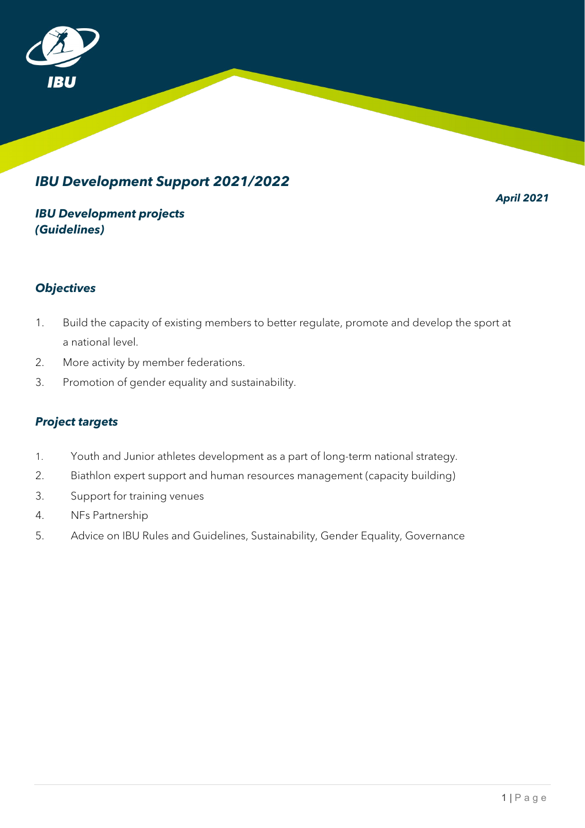

# *IBU Development Support 2021/2022*

*April 2021*

### *IBU Development projects (Guidelines)*

### *Objectives*

- 1. Build the capacity of existing members to better regulate, promote and develop the sport at a national level.
- 2. More activity by member federations.
- 3. Promotion of gender equality and sustainability.

#### *Project targets*

- 1. Youth and Junior athletes development as a part of long-term national strategy.
- 2. Biathlon expert support and human resources management (capacity building)
- 3. Support for training venues
- 4. NFs Partnership
- 5. Advice on IBU Rules and Guidelines, Sustainability, Gender Equality, Governance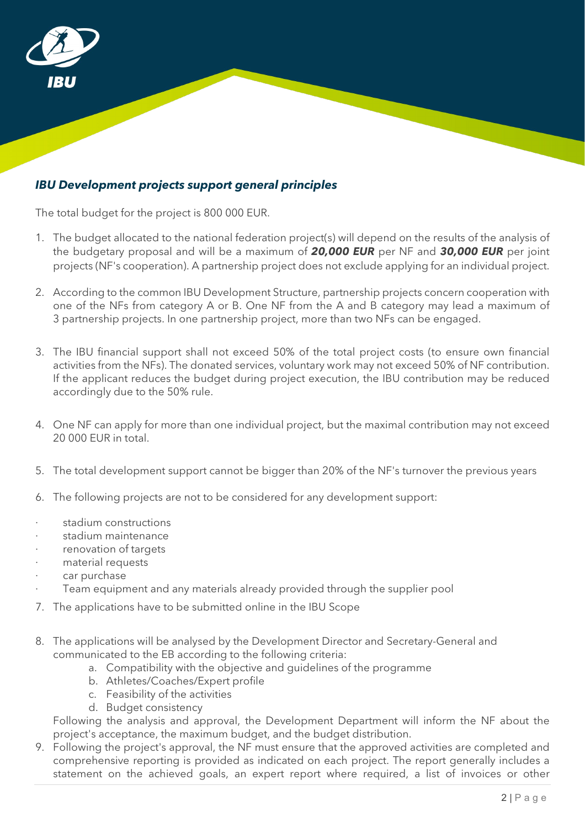

### *IBU Development projects support general principles*

The total budget for the project is 800 000 EUR.

- 1. The budget allocated to the national federation project(s) will depend on the results of the analysis of the budgetary proposal and will be a maximum of *20,000 EUR* per NF and *30,000 EUR* per joint projects (NF's cooperation). A partnership project does not exclude applying for an individual project.
- 2. According to the common IBU Development Structure, partnership projects concern cooperation with one of the NFs from category A or B. One NF from the A and B category may lead a maximum of 3 partnership projects. In one partnership project, more than two NFs can be engaged.
- 3. The IBU financial support shall not exceed 50% of the total project costs (to ensure own financial activities from the NFs). The donated services, voluntary work may not exceed 50% of NF contribution. If the applicant reduces the budget during project execution, the IBU contribution may be reduced accordingly due to the 50% rule.
- 4. One NF can apply for more than one individual project, but the maximal contribution may not exceed 20 000 EUR in total.
- 5. The total development support cannot be bigger than 20% of the NF's turnover the previous years
- 6. The following projects are not to be considered for any development support:
- ∙ stadium constructions
- ∙ stadium maintenance
- ∙ renovation of targets
- ∙ material requests
- ∙ car purchase
- Team equipment and any materials already provided through the supplier pool
- 7. The applications have to be submitted online in the IBU Scope
- 8. The applications will be analysed by the Development Director and Secretary-General and communicated to the EB according to the following criteria:
	- a. Compatibility with the objective and guidelines of the programme
	- b. Athletes/Coaches/Expert profile
	- c. Feasibility of the activities
	- d. Budget consistency

Following the analysis and approval, the Development Department will inform the NF about the project's acceptance, the maximum budget, and the budget distribution.

9. Following the project's approval, the NF must ensure that the approved activities are completed and comprehensive reporting is provided as indicated on each project. The report generally includes a statement on the achieved goals, an expert report where required, a list of invoices or other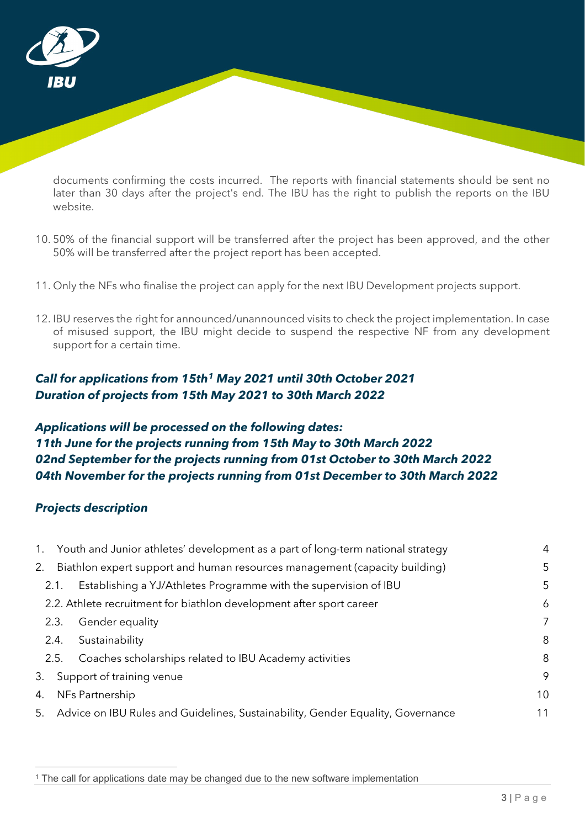

documents confirming the costs incurred. The reports with financial statements should be sent no later than 30 days after the project's end. The IBU has the right to publish the reports on the IBU website.

- 10. 50% of the financial support will be transferred after the project has been approved, and the other 50% will be transferred after the project report has been accepted.
- 11. Only the NFs who finalise the project can apply for the next IBU Development projects support.
- 12. IBU reserves the right for announced/unannounced visits to check the project implementation. In case of misused support, the IBU might decide to suspend the respective NF from any development support for a certain time.

### *Call for applications from 15th[1](#page-2-0) May 2021 until 30th October 2021 Duration of projects from 15th May 2021 to 30th March 2022*

### *Applications will be processed on the following dates: 11th June for the projects running from 15th May to 30th March 2022 02nd September for the projects running from 01st October to 30th March 2022 04th November for the projects running from 01st December to 30th March 2022*

#### *Projects description*

 $\overline{a}$ 

|    |      | 1. Youth and Junior athletes' development as a part of long-term national strategy | $\overline{4}$ |
|----|------|------------------------------------------------------------------------------------|----------------|
| 2. |      | Biathlon expert support and human resources management (capacity building)         | 5              |
|    | 2.1. | Establishing a YJ/Athletes Programme with the supervision of IBU                   | 5              |
|    |      | 2.2. Athlete recruitment for biathlon development after sport career               | 6              |
|    | 2.3. | Gender equality                                                                    | 7              |
|    | 2.4. | Sustainability                                                                     | 8              |
|    | 2.5. | Coaches scholarships related to IBU Academy activities                             | 8              |
| 3. |      | Support of training venue                                                          | 9              |
| 4. |      | NFs Partnership                                                                    | 10             |
| 5. |      | Advice on IBU Rules and Guidelines, Sustainability, Gender Equality, Governance    | 11             |

<span id="page-2-0"></span><sup>1</sup> The call for applications date may be changed due to the new software implementation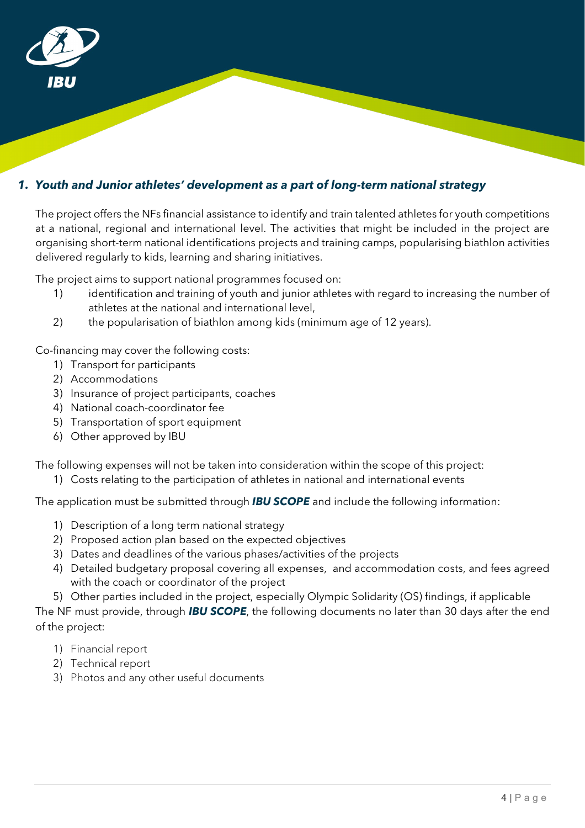

### <span id="page-3-0"></span>*1. Youth and Junior athletes' development as a part of long-term national strategy*

The project offers the NFs financial assistance to identify and train talented athletes for youth competitions at a national, regional and international level. The activities that might be included in the project are organising short-term national identifications projects and training camps, popularising biathlon activities delivered regularly to kids, learning and sharing initiatives.

The project aims to support national programmes focused on:

- 1) identification and training of youth and junior athletes with regard to increasing the number of athletes at the national and international level,
- 2) the popularisation of biathlon among kids (minimum age of 12 years).

Co-financing may cover the following costs:

- 1) Transport for participants
- 2) Accommodations
- 3) Insurance of project participants, coaches
- 4) National coach-coordinator fee
- 5) Transportation of sport equipment
- 6) Other approved by IBU

The following expenses will not be taken into consideration within the scope of this project:

1) Costs relating to the participation of athletes in national and international events

The application must be submitted through *IBU SCOPE* and include the following information:

- 1) Description of a long term national strategy
- 2) Proposed action plan based on the expected objectives
- 3) Dates and deadlines of the various phases/activities of the projects
- 4) Detailed budgetary proposal covering all expenses, and accommodation costs, and fees agreed with the coach or coordinator of the project

5) Other parties included in the project, especially Olympic Solidarity (OS) findings, if applicable

- 1) Financial report
- 2) Technical report
- 3) Photos and any other useful documents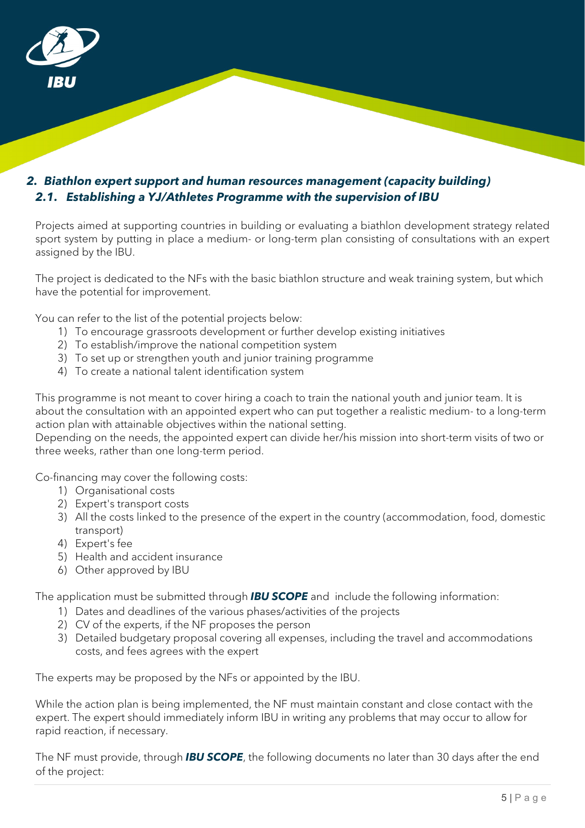

### <span id="page-4-1"></span><span id="page-4-0"></span>*2. Biathlon expert support and human resources management (capacity building) 2.1. Establishing a YJ/Athletes Programme with the supervision of IBU*

Projects aimed at supporting countries in building or evaluating a biathlon development strategy related sport system by putting in place a medium- or long-term plan consisting of consultations with an expert assigned by the IBU.

The project is dedicated to the NFs with the basic biathlon structure and weak training system, but which have the potential for improvement.

You can refer to the list of the potential projects below:

- 1) To encourage grassroots development or further develop existing initiatives
- 2) To establish/improve the national competition system
- 3) To set up or strengthen youth and junior training programme
- 4) To create a national talent identification system

This programme is not meant to cover hiring a coach to train the national youth and junior team. It is about the consultation with an appointed expert who can put together a realistic medium- to a long-term action plan with attainable objectives within the national setting.

Depending on the needs, the appointed expert can divide her/his mission into short-term visits of two or three weeks, rather than one long-term period.

Co-financing may cover the following costs:

- 1) Organisational costs
- 2) Expert's transport costs
- 3) All the costs linked to the presence of the expert in the country (accommodation, food, domestic transport)
- 4) Expert's fee
- 5) Health and accident insurance
- 6) Other approved by IBU

The application must be submitted through *IBU SCOPE* and include the following information:

- 1) Dates and deadlines of the various phases/activities of the projects
- 2) CV of the experts, if the NF proposes the person
- 3) Detailed budgetary proposal covering all expenses, including the travel and accommodations costs, and fees agrees with the expert

The experts may be proposed by the NFs or appointed by the IBU.

While the action plan is being implemented, the NF must maintain constant and close contact with the expert. The expert should immediately inform IBU in writing any problems that may occur to allow for rapid reaction, if necessary.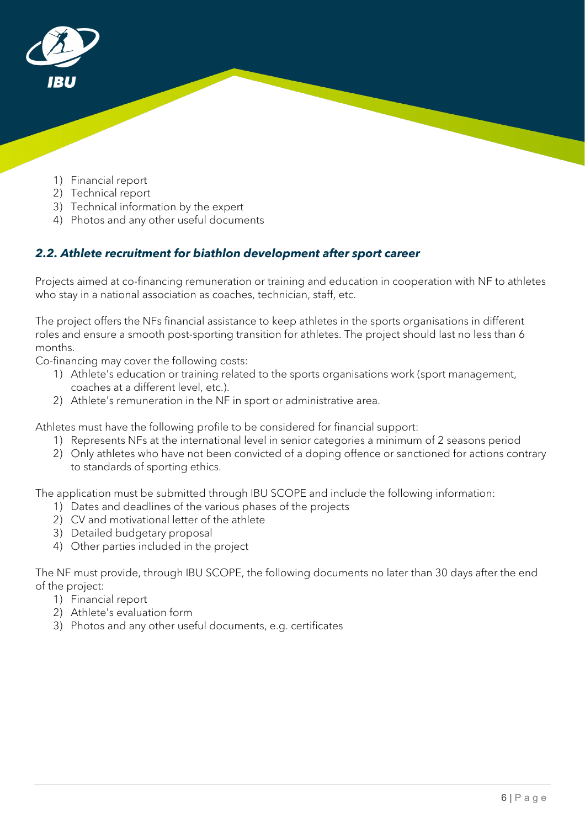

- 1) Financial report
- 2) Technical report
- 3) Technical information by the expert
- 4) Photos and any other useful documents

## <span id="page-5-0"></span>*2.2. Athlete recruitment for biathlon development after sport career*

Projects aimed at co-financing remuneration or training and education in cooperation with NF to athletes who stay in a national association as coaches, technician, staff, etc.

The project offers the NFs financial assistance to keep athletes in the sports organisations in different roles and ensure a smooth post-sporting transition for athletes. The project should last no less than 6 months.

Co-financing may cover the following costs:

- 1) Athlete's education or training related to the sports organisations work (sport management, coaches at a different level, etc.).
- 2) Athlete's remuneration in the NF in sport or administrative area.

Athletes must have the following profile to be considered for financial support:

- 1) Represents NFs at the international level in senior categories a minimum of 2 seasons period
- 2) Only athletes who have not been convicted of a doping offence or sanctioned for actions contrary to standards of sporting ethics.

The application must be submitted through IBU SCOPE and include the following information:

- 1) Dates and deadlines of the various phases of the projects
- 2) CV and motivational letter of the athlete
- 3) Detailed budgetary proposal
- 4) Other parties included in the project

- 1) Financial report
- 2) Athlete's evaluation form
- 3) Photos and any other useful documents, e.g. certificates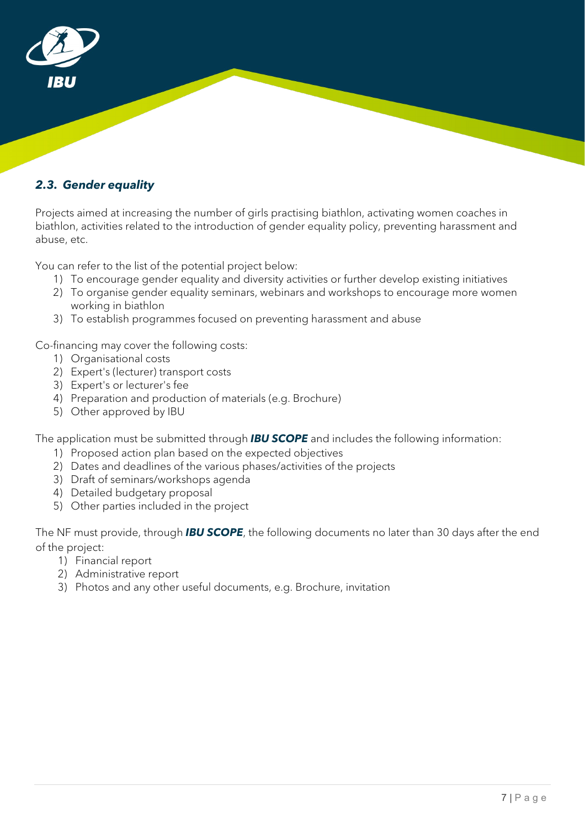

#### <span id="page-6-0"></span>*2.3. Gender equality*

Projects aimed at increasing the number of girls practising biathlon, activating women coaches in biathlon, activities related to the introduction of gender equality policy, preventing harassment and abuse, etc.

You can refer to the list of the potential project below:

- 1) To encourage gender equality and diversity activities or further develop existing initiatives
- 2) To organise gender equality seminars, webinars and workshops to encourage more women working in biathlon
- 3) To establish programmes focused on preventing harassment and abuse

Co-financing may cover the following costs:

- 1) Organisational costs
- 2) Expert's (lecturer) transport costs
- 3) Expert's or lecturer's fee
- 4) Preparation and production of materials (e.g. Brochure)
- 5) Other approved by IBU

The application must be submitted through *IBU SCOPE* and includes the following information:

- 1) Proposed action plan based on the expected objectives
- 2) Dates and deadlines of the various phases/activities of the projects
- 3) Draft of seminars/workshops agenda
- 4) Detailed budgetary proposal
- 5) Other parties included in the project

- 1) Financial report
- 2) Administrative report
- 3) Photos and any other useful documents, e.g. Brochure, invitation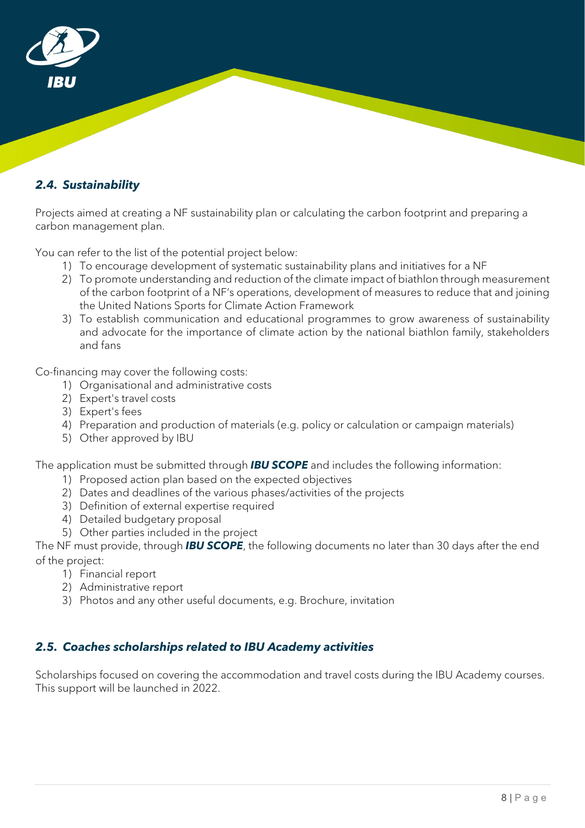

### <span id="page-7-0"></span>*2.4. Sustainability*

Projects aimed at creating a NF sustainability plan or calculating the carbon footprint and preparing a carbon management plan.

You can refer to the list of the potential project below:

- 1) To encourage development of systematic sustainability plans and initiatives for a NF
- 2) To promote understanding and reduction of the climate impact of biathlon through measurement of the carbon footprint of a NF's operations, development of measures to reduce that and joining the United Nations Sports for Climate Action Framework
- 3) To establish communication and educational programmes to grow awareness of sustainability and advocate for the importance of climate action by the national biathlon family, stakeholders and fans

Co-financing may cover the following costs:

- 1) Organisational and administrative costs
- 2) Expert's travel costs
- 3) Expert's fees
- 4) Preparation and production of materials (e.g. policy or calculation or campaign materials)
- 5) Other approved by IBU

The application must be submitted through *IBU SCOPE* and includes the following information:

- 1) Proposed action plan based on the expected objectives
- 2) Dates and deadlines of the various phases/activities of the projects
- 3) Definition of external expertise required
- 4) Detailed budgetary proposal
- 5) Other parties included in the project

The NF must provide, through *IBU SCOPE*, the following documents no later than 30 days after the end of the project:

- 1) Financial report
- 2) Administrative report
- 3) Photos and any other useful documents, e.g. Brochure, invitation

#### <span id="page-7-1"></span>*2.5. Coaches scholarships related to IBU Academy activities*

Scholarships focused on covering the accommodation and travel costs during the IBU Academy courses. This support will be launched in 2022.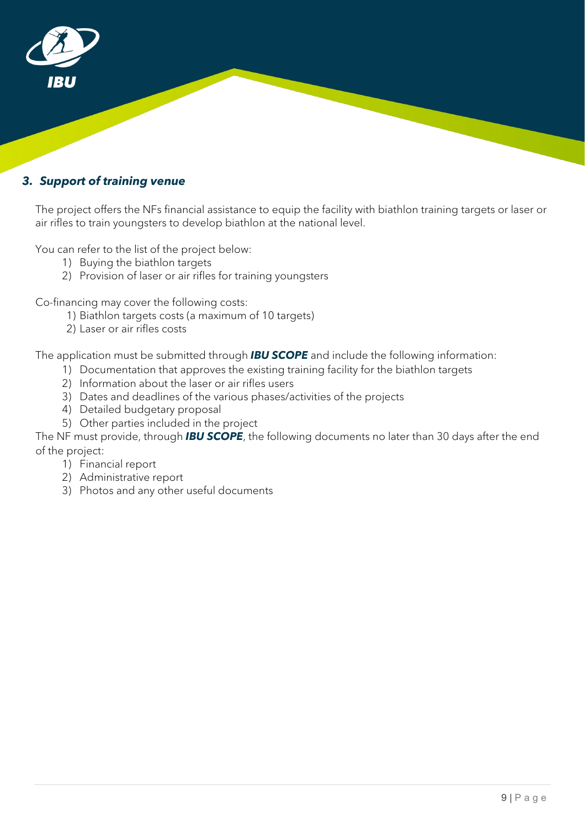

### <span id="page-8-0"></span>*3. Support of training venue*

The project offers the NFs financial assistance to equip the facility with biathlon training targets or laser or air rifles to train youngsters to develop biathlon at the national level.

You can refer to the list of the project below:

- 1) Buying the biathlon targets
- 2) Provision of laser or air rifles for training youngsters

Co-financing may cover the following costs:

- 1) Biathlon targets costs (a maximum of 10 targets)
- 2) Laser or air rifles costs

The application must be submitted through *IBU SCOPE* and include the following information:

- 1) Documentation that approves the existing training facility for the biathlon targets
- 2) Information about the laser or air rifles users
- 3) Dates and deadlines of the various phases/activities of the projects
- 4) Detailed budgetary proposal
- 5) Other parties included in the project

- 1) Financial report
- 2) Administrative report
- 3) Photos and any other useful documents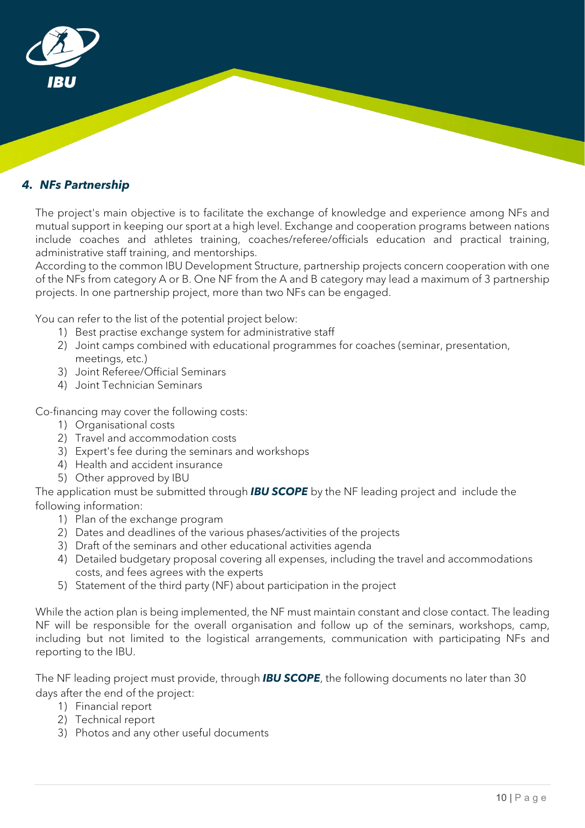

### <span id="page-9-0"></span>*4. NFs Partnership*

The project's main objective is to facilitate the exchange of knowledge and experience among NFs and mutual support in keeping our sport at a high level. Exchange and cooperation programs between nations include coaches and athletes training, coaches/referee/officials education and practical training, administrative staff training, and mentorships.

According to the common IBU Development Structure, partnership projects concern cooperation with one of the NFs from category A or B. One NF from the A and B category may lead a maximum of 3 partnership projects. In one partnership project, more than two NFs can be engaged.

You can refer to the list of the potential project below:

- 1) Best practise exchange system for administrative staff
- 2) Joint camps combined with educational programmes for coaches (seminar, presentation, meetings, etc.)
- 3) Joint Referee/Official Seminars
- 4) Joint Technician Seminars

Co-financing may cover the following costs:

- 1) Organisational costs
- 2) Travel and accommodation costs
- 3) Expert's fee during the seminars and workshops
- 4) Health and accident insurance
- 5) Other approved by IBU

The application must be submitted through *IBU SCOPE* by the NF leading project and include the following information:

- 1) Plan of the exchange program
- 2) Dates and deadlines of the various phases/activities of the projects
- 3) Draft of the seminars and other educational activities agenda
- 4) Detailed budgetary proposal covering all expenses, including the travel and accommodations costs, and fees agrees with the experts
- 5) Statement of the third party (NF) about participation in the project

While the action plan is being implemented, the NF must maintain constant and close contact. The leading NF will be responsible for the overall organisation and follow up of the seminars, workshops, camp, including but not limited to the logistical arrangements, communication with participating NFs and reporting to the IBU.

- 1) Financial report
- 2) Technical report
- 3) Photos and any other useful documents